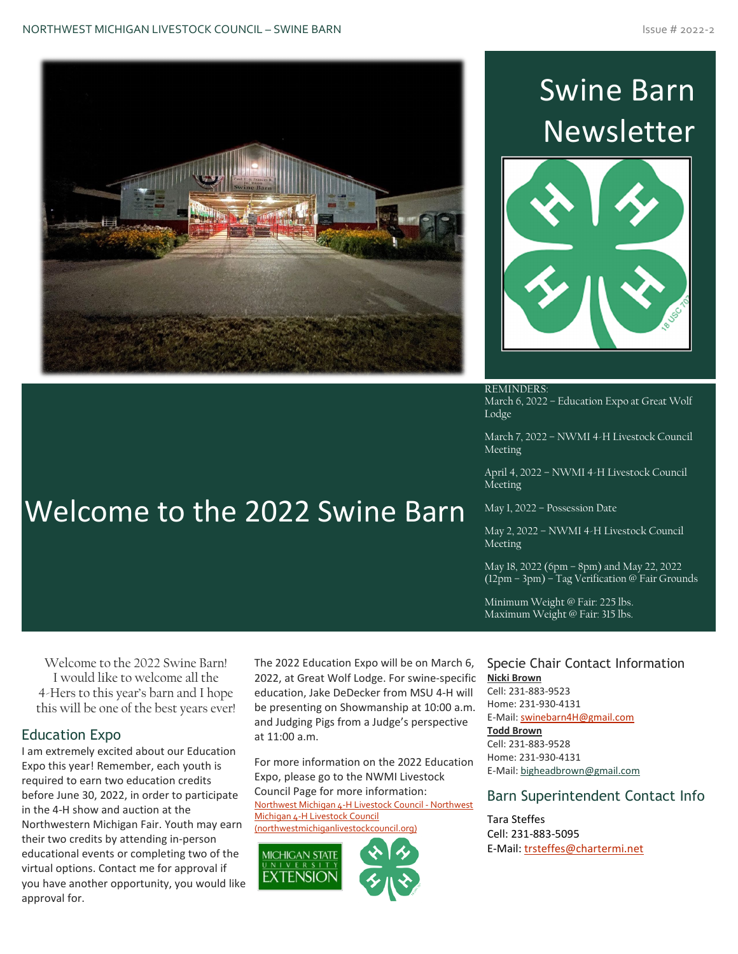

Welcome to the 2022 Swine Barn

# Swine Barn **Newsletter**



REMINDERS: March 6, 2022 – Education Expo at Great Wolf Lodge

March 7, 2022 – NWMI 4-H Livestock Council Meeting

April 4, 2022 – NWMI 4-H Livestock Council Meeting

May 1, 2022 – Possession Date

May 2, 2022 – NWMI 4-H Livestock Council Meeting

May 18, 2022 (6pm – 8pm) and May 22, 2022 (12pm – 3pm) – Tag Verification @ Fair Grounds

Minimum Weight @ Fair: 225 lbs. Maximum Weight @ Fair: 315 lbs.

#### Welcome to the 2022 Swine Barn! I would like to welcome all the 4-Hers to this year's barn and I hope this will be one of the best years ever!

#### Education Expo

I am extremely excited about our Education Expo this year! Remember, each youth is required to earn two education credits before June 30, 2022, in order to participate in the 4-H show and auction at the Northwestern Michigan Fair. Youth may earn their two credits by attending in-person educational events or completing two of the virtual options. Contact me for approval if you have another opportunity, you would like approval for.

The 2022 Education Expo will be on March 6, 2022, at Great Wolf Lodge. For swine-specific education, Jake DeDecker from MSU 4-H will be presenting on Showmanship at 10:00 a.m. and Judging Pigs from a Judge's perspective at 11:00 a.m.

For more information on the 2022 Education Expo, please go to the NWMI Livestock Council Page for more information: [Northwest Michigan 4-H Livestock Council -](http://www.northwestmichiganlivestockcouncil.org/) Northwest [Michigan 4-H Livestock Council](http://www.northwestmichiganlivestockcouncil.org/)  [\(northwestmichiganlivestockcouncil.org\)](http://www.northwestmichiganlivestockcouncil.org/)





#### Specie Chair Contact Information **Nicki Brown**

Cell: 231-883-9523 Home: 231-930-4131 E-Mail: [swinebarn4H@gmail.com](mailto:swinebarn4H@gmail.com) **Todd Brown** Cell: 231-883-9528 Home: 231-930-4131 E-Mail[: bigheadbrown@gmail.com](mailto:bigheadbrown@gmail.com)

#### Barn Superintendent Contact Info

Tara Steffes Cell: 231-883-5095 E-Mail: [trsteffes@chartermi.net](mailto:trsteffes@chartermi.net)